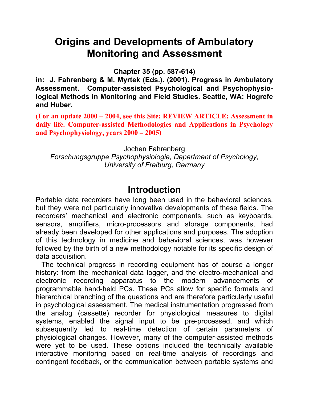# **Origins and Developments of Ambulatory Monitoring and Assessment**

**Chapter 35 (pp. 587-614)** 

**in: J. Fahrenberg & M. Myrtek (Eds.). (2001). Progress in Ambulatory Assessment. Computer-assisted Psychological and Psychophysiological Methods in Monitoring and Field Studies. Seattle, WA: Hogrefe and Huber.**

**(For an update 2000 – 2004, see this Site: REVIEW ARTICLE: Assessment in daily life. Computer-assisted Methodologies and Applications in Psychology and Psychophysiology, years 2000 – 2005)**

Jochen Fahrenberg *Forschungsgruppe Psychophysiologie, Department of Psychology, University of Freiburg, Germany* 

## **Introduction**

Portable data recorders have long been used in the behavioral sciences, but they were not particularly innovative developments of these fields. The recorders' mechanical and electronic components, such as keyboards, sensors, amplifiers, micro-processors and storage components, had already been developed for other applications and purposes. The adoption of this technology in medicine and behavioral sciences, was however followed by the birth of a new methodology notable for its specific design of data acquisition.

The technical progress in recording equipment has of course a longer history: from the mechanical data logger, and the electro-mechanical and electronic recording apparatus to the modern advancements of programmable hand-held PCs. These PCs allow for specific formats and hierarchical branching of the questions and are therefore particularly useful in psychological assessment. The medical instrumentation progressed from the analog (cassette) recorder for physiological measures to digital systems, enabled the signal input to be pre-processed, and which subsequently led to real-time detection of certain parameters of physiological changes. However, many of the computer-assisted methods were yet to be used. These options included the technically available interactive monitoring based on real-time analysis of recordings and contingent feedback, or the communication between portable systems and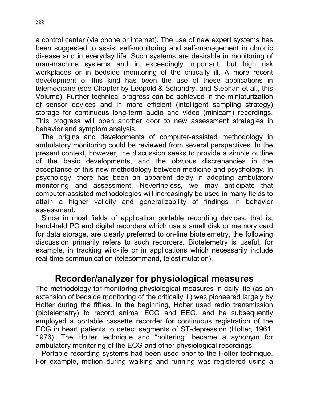a control center (via phone or internet). The use of new expert systems has been suggested to assist self-monitoring and self-management in chronic disease and in everyday life. Such systems are desirable in monitoring of man-machine systems and in exceedingly important, but high risk workplaces or in bedside monitoring of the critically ill. A more recent development of this kind has been the use of these applications in telemedicine (see Chapter by Leopold & Schandry, and Stephan et al., this Volume). Further technical progress can be achieved in the miniaturization of sensor devices and in more efficient (intelligent sampling strategy) storage for continuous long-term audio and video (minicam) recordings. This progress will open another door to new assessment strategies in behavior and symptom analysis.

The origins and developments of computer-assisted methodology in ambulatory monitoring could be reviewed from several perspectives. In the present context, however, the discussion seeks to provide a simple outline of the basic developments, and the obvious discrepancies in the acceptance of this new methodology between medicine and psychology. In psychology, there has been an apparent delay in adopting ambulatory monitoring and assessment. Nevertheless, we may anticipate that computer-assisted methodologies will increasingly be used in many fields to attain a higher validity and generalizability of findings in behavior assessment.

Since in most fields of application portable recording devices, that is, hand-held PC and digital recorders which use a small disk or memory card for data storage, are clearly preferred to on-line biotelemetry, the following discussion primarily refers to such recorders. Biotelemetry is useful, for example, in tracking wild-life or in applications which necessarily include real-time communication (telecommand, telestimulation).

# **Recorder/analyzer for physiological measures**

The methodology for monitoring physiological measures in daily life (as an extension of bedside monitoring of the critically ill) was pioneered largely by Holter during the fifties. In the beginning, Holter used radio transmission (biotelemetry) to record animal ECG and EEG, and he subsequently employed a portable cassette recorder for continuous registration of the ECG in heart patients to detect segments of ST-depression (Holter, 1961, 1976). The Holter technique and "holtering" became a synonym for ambulatory monitoring of the ECG and other physiological recordings.

Portable recording systems had been used prior to the Holter technique. For example, motion during walking and running was registered using a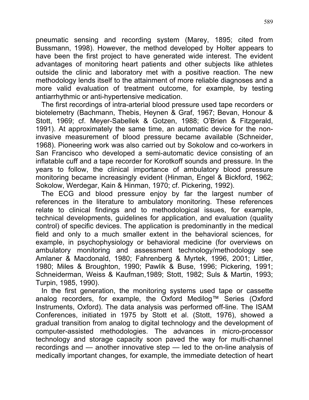pneumatic sensing and recording system (Marey, 1895; cited from Bussmann, 1998). However, the method developed by Holter appears to have been the first project to have generated wide interest. The evident advantages of monitoring heart patients and other subjects like athletes outside the clinic and laboratory met with a positive reaction. The new methodology lends itself to the attainment of more reliable diagnoses and a more valid evaluation of treatment outcome, for example, by testing antiarrhythmic or anti-hypertensive medication.

The first recordings of intra-arterial blood pressure used tape recorders or biotelemetry (Bachmann, Thebis, Heynen & Graf, 1967; Bevan, Honour & Stott, 1969; cf. Meyer-Sabellek & Gotzen, 1988; O'Brien & Fitzgerald, 1991). At approximately the same time, an automatic device for the noninvasive measurement of blood pressure became available (Schneider, 1968). Pioneering work was also carried out by Sokolow and co-workers in San Francisco who developed a semi-automatic device consisting of an inflatable cuff and a tape recorder for Korotkoff sounds and pressure. In the years to follow, the clinical importance of ambulatory blood pressure monitoring became increasingly evident (Hinman, Engel & Bickford, 1962; Sokolow, Werdegar, Kain & Hinman, 1970; cf. Pickering, 1992).

The ECG and blood pressure enjoy by far the largest number of references in the literature to ambulatory monitoring. These references relate to clinical findings and to methodological issues, for example, technical developments, guidelines for application, and evaluation (quality control) of specific devices. The application is predominantly in the medical field and only to a much smaller extent in the behavioral sciences, for example, in psychophysiology or behavioral medicine (for overviews on ambulatory monitoring and assessment technology/methodology see Amlaner & Macdonald, 1980; Fahrenberg & Myrtek, 1996, 2001; Littler, 1980; Miles & Broughton, 1990; Pawlik & Buse, 1996; Pickering, 1991; Schneiderman, Weiss & Kaufman,1989; Stott, 1982; Suls & Martin, 1993; Turpin, 1985, 1990).

In the first generation, the monitoring systems used tape or cassette analog recorders, for example, the Oxford Medilog™ Series (Oxford Instruments, Oxford). The data analysis was performed off-line. The ISAM Conferences, initiated in 1975 by Stott et al. (Stott, 1976), showed a gradual transition from analog to digital technology and the development of computer-assisted methodologies. The advances in micro-processor technology and storage capacity soon paved the way for multi-channel recordings and — another innovative step — led to the on-line analysis of medically important changes, for example, the immediate detection of heart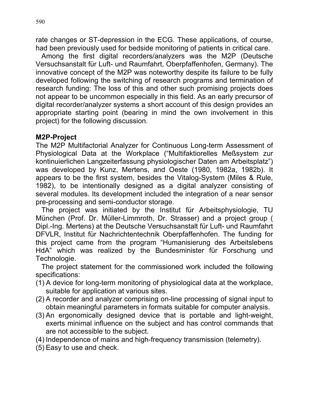rate changes or ST-depression in the ECG. These applications, of course, had been previously used for bedside monitoring of patients in critical care.

Among the first digital recorders/analyzers was the M2P (Deutsche Versuchsanstalt für Luft- und Raumfahrt, Oberpfaffenhofen, Germany). The innovative concept of the M2P was noteworthy despite its failure to be fully developed following the switching of research programs and termination of research funding: The loss of this and other such promising projects does not appear to be uncommon especially in this field. As an early precursor of digital recorder/analyzer systems a short account of this design provides an appropriate starting point (bearing in mind the own involvement in this project) for the following discussion.

### **M2P-Project**

The M2P Multifactorial Analyzer for Continuous Long-term Assessment of Physiological Data at the Workplace ("Multifaktiorelles Meßsystem zur kontinuierlichen Langzeiterfassung physiologischer Daten am Arbeitsplatz") was developed by Kunz, Mertens, and Oeste (1980, 1982a, 1982b). It appears to be the first system, besides the Vitalog-System (Miles & Rule, 1982), to be intentionally designed as a digital analyzer consisting of several modules. Its development included the integration of a near sensor pre-processing and semi-conductor storage.

The project was initiated by the Institut für Arbeitsphysiologie, TU München (Prof. Dr. Müller-Limmroth, Dr. Strasser) and a project group ( Dipl.-Ing. Mertens) at the Deutsche Versuchsanstalt für Luft- und Raumfahrt DFVLR, Institut für Nachrichtentechnik Oberpfaffenhofen. The funding for this project came from the program "Humanisierung des Arbeitslebens HdA" which was realized by the Bundesminister für Forschung und Technologie.

The project statement for the commissioned work included the following specifications:

- (1) A device for long-term monitoring of physiological data at the workplace, suitable for application at various sites.
- (2) A recorder and analyzer comprising on-line processing of signal input to obtain meaningful parameters in formats suitable for computer analysis.
- (3) An ergonomically designed device that is portable and light-weight, exerts minimal influence on the subject and has control commands that are not accessible to the subject.
- (4) Independence of mains and high-frequency transmission (telemetry).
- (5) Easy to use and check.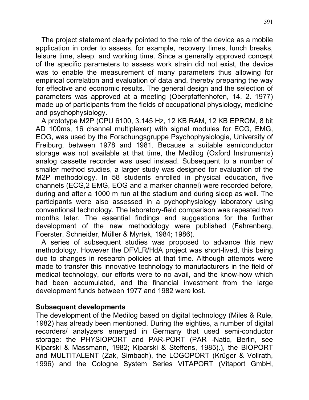The project statement clearly pointed to the role of the device as a mobile application in order to assess, for example, recovery times, lunch breaks, leisure time, sleep, and working time. Since a generally approved concept of the specific parameters to assess work strain did not exist, the device was to enable the measurement of many parameters thus allowing for empirical correlation and evaluation of data and, thereby preparing the way for effective and economic results. The general design and the selection of parameters was approved at a meeting (Oberpfaffenhofen, 14. 2. 1977) made up of participants from the fields of occupational physiology, medicine and psychophysiology.

A prototype M2P (CPU 6100, 3.145 Hz, 12 KB RAM, 12 KB EPROM, 8 bit AD 100ms, 16 channel multiplexer) with signal modules for ECG, EMG, EOG, was used by the Forschungsgruppe Psychophysiologie, University of Freiburg, between 1978 and 1981. Because a suitable semiconductor storage was not available at that time, the Medilog (Oxford Instruments) analog cassette recorder was used instead. Subsequent to a number of smaller method studies, a larger study was designed for evaluation of the M2P methodology. In 58 students enrolled in physical education, five channels (ECG,2 EMG, EOG and a marker channel) were recorded before, during and after a 1000 m run at the stadium and during sleep as well. The participants were also assessed in a pychophysiology laboratory using conventional technology. The laboratory-field comparison was repeated two months later. The essential findings and suggestions for the further development of the new methodology were published (Fahrenberg, Foerster, Schneider, Müller & Myrtek, 1984; 1986).

A series of subsequent studies was proposed to advance this new methodology. However the DFVLR/HdA project was short-lived, this being due to changes in research policies at that time. Although attempts were made to transfer this innovative technology to manufacturers in the field of medical technology, our efforts were to no avail, and the know-how which had been accumulated, and the financial investment from the large development funds between 1977 and 1982 were lost.

#### **Subsequent developments**

The development of the Medilog based on digital technology (Miles & Rule, 1982) has already been mentioned. During the eighties, a number of digital recorders/ analyzers emerged in Germany that used semi-conductor storage: the PHYSIOPORT and PAR-PORT (PAR -Natic, Berlin, see Kiparski & Massmann, 1982; Kiparski & Steffens, 1985).), the BIOPORT and MULTITALENT (Zak, Simbach), the LOGOPORT (Krüger & Vollrath, 1996) and the Cologne System Series VITAPORT (Vitaport GmbH,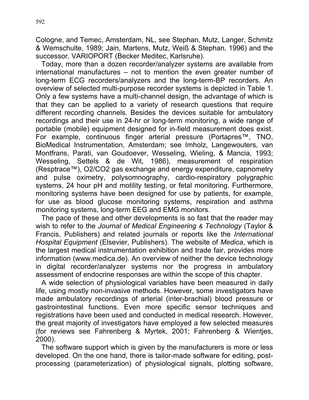Cologne, and Temec, Amsterdam, NL, see Stephan, Mutz, Langer, Schmitz & Wemschulte, 1989; Jain, Martens, Mutz, Weiß & Stephan, 1996) and the successor, VARIOPORT (Becker Meditec, Karlsruhe).

Today, more than a dozen recorder/analyzer systems are available from international manufactures – not to mention the even greater number of long-term ECG recorders/analyzers and the long-term-BP recorders. An overview of selected multi-purpose recorder systems is depicted in Table 1. Only a few systems have a multi-channel design, the advantage of which is that they can be applied to a variety of research questions that require different recording channels. Besides the devices suitable for ambulatory recordings and their use in 24-hr or long-term monitoring, a wide range of portable (mobile) equipment designed for in-field measurement does exist. For example, continuous finger arterial pressure (Portapres™, TNO, BioMedical Instrumentation, Amsterdam; see Imholz, Langewouters, van Montfrans, Parati, van Goudoever, Wesseling, Wieling, & Mancia, 1993; Wesseling, Settels & de Wit, 1986), measurement of respiration (Resptrace™), O2/CO2 gas exchange and energy expenditure, capnometry and pulse oximetry, polysomnography, cardio-respiratory polygraphic systems, 24 hour pH and motility testing, or fetal monitoring. Furthermore, monitoring systems have been designed for use by patients, for example, for use as blood glucose monitoring systems, respiration and asthma monitoring systems, long-term EEG and EMG monitors.

The pace of these and other developments is so fast that the reader may wish to refer to the *Journal of Medical Engineering & Technology* (Taylor & Francis, Publishers) and related journals or reports like the *International Hospital Equipment* (Elsevier, Publishers). The website of *Medica*, which is the largest medical instrumentation exhibition and trade fair, provides more information (www.medica.de). An overview of neither the device technology in digital recorder/analyzer systems nor the progress in ambulatory assessment of endocrine responses are within the scope of this chapter.

A wide selection of physiological variables have been measured in daily life, using mostly non-invasive methods. However, some investigators have made ambulatory recordings of arterial (inter-brachial) blood pressure or gastrointestinal functions. Even more specific sensor techniques and registrations have been used and conducted in medical research. However, the great majority of investigators have employed a few selected measures (for reviews see Fahrenberg & Myrtek, 2001; Fahrenberg & Wientjes, 2000).

The software support which is given by the manufacturers is more or less developed. On the one hand, there is tailor-made software for editing, postprocessing (parameterization) of physiological signals, plotting software,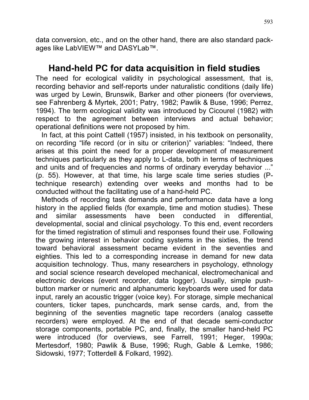data conversion, etc., and on the other hand, there are also standard packages like LabVIEW™ and DASYLab™.

## **Hand-held PC for data acquisition in field studies**

The need for ecological validity in psychological assessment, that is, recording behavior and self-reports under naturalistic conditions (daily life) was urged by Lewin, Brunswik, Barker and other pioneers (for overviews, see Fahrenberg & Myrtek, 2001; Patry, 1982; Pawlik & Buse, 1996; Perrez, 1994). The term ecological validity was introduced by Cicourel (1982) with respect to the agreement between interviews and actual behavior; operational definitions were not proposed by him.

In fact, at this point Cattell (1957) insisted, in his textbook on personality, on recording "life record (or in situ or criterion)" variables: "Indeed, there arises at this point the need for a proper development of measurement techniques particularly as they apply to L-data, both in terms of techniques and units and of frequencies and norms of ordinary everyday behavior ..." (p. 55). However, at that time, his large scale time series studies (Ptechnique research) extending over weeks and months had to be conducted without the facilitating use of a hand-held PC.

Methods of recording task demands and performance data have a long history in the applied fields (for example, time and motion studies). These and similar assessments have been conducted in differential, developmental, social and clinical psychology. To this end, event recorders for the timed registration of stimuli and responses found their use. Following the growing interest in behavior coding systems in the sixties, the trend toward behavioral assessment became evident in the seventies and eighties. This led to a corresponding increase in demand for new data acquisition technology. Thus, many researchers in psychology, ethnology and social science research developed mechanical, electromechanical and electronic devices (event recorder, data logger). Usually, simple pushbutton marker or numeric and alphanumeric keyboards were used for data input, rarely an acoustic trigger (voice key). For storage, simple mechanical counters, ticker tapes, punchcards, mark sense cards, and, from the beginning of the seventies magnetic tape recorders (analog cassette recorders) were employed. At the end of that decade semi-conductor storage components, portable PC, and, finally, the smaller hand-held PC were introduced (for overviews, see Farrell, 1991; Heger, 1990a; Mertesdorf, 1980; Pawlik & Buse, 1996; Rugh, Gable & Lemke, 1986; Sidowski, 1977; Totterdell & Folkard, 1992).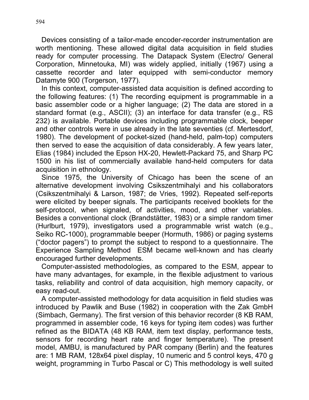Devices consisting of a tailor-made encoder-recorder instrumentation are worth mentioning. These allowed digital data acquisition in field studies ready for computer processing. The Datapack System (Electro/ General Corporation, Minnetouka, MI) was widely applied, initially (1967) using a cassette recorder and later equipped with semi-conductor memory Datamyte 900 (Torgerson, 1977).

In this context, computer-assisted data acquisition is defined according to the following features: (1) The recording equipment is programmable in a basic assembler code or a higher language; (2) The data are stored in a standard format (e.g., ASCII); (3) an interface for data transfer (e.g., RS 232) is available. Portable devices including programmable clock, beeper and other controls were in use already in the late seventies (cf. Mertesdorf, 1980). The development of pocket-sized (hand-held, palm-top) computers then served to ease the acquisition of data considerably. A few years later, Elias (1984) included the Epson HX-20, Hewlett-Packard 75, and Sharp PC 1500 in his list of commercially available hand-held computers for data acquisition in ethnology.

Since 1975, the University of Chicago has been the scene of an alternative development involving Csikszentmihalyi and his collaborators (Csikszentmihalyi & Larson, 1987; de Vries, 1992). Repeated self-reports were elicited by beeper signals. The participants received booklets for the self-protocol, when signaled, of activities, mood, and other variables. Besides a conventional clock (Brandstätter, 1983) or a simple random timer (Hurlburt, 1979), investigators used a programmable wrist watch (e.g., Seiko RC-1000), programmable beeper (Hormuth, 1986) or paging systems ("doctor pagers") to prompt the subject to respond to a questionnaire. The Experience Sampling Method ESM became well-known and has clearly encouraged further developments.

Computer-assisted methodologies, as compared to the ESM, appear to have many advantages, for example, in the flexible adjustment to various tasks, reliability and control of data acquisition, high memory capacity, or easy read-out.

A computer-assisted methodology for data acquisition in field studies was introduced by Pawlik and Buse (1982) in cooperation with the Zak GmbH (Simbach, Germany). The first version of this behavior recorder (8 KB RAM, programmed in assembler code, 16 keys for typing item codes) was further refined as the BIDATA (48 KB RAM, item text display, performance tests, sensors for recording heart rate and finger temperature). The present model, AMBU, is manufactured by PAR company (Berlin) and the features are: 1 MB RAM, 128x64 pixel display, 10 numeric and 5 control keys, 470 g weight, programming in Turbo Pascal or C) This methodology is well suited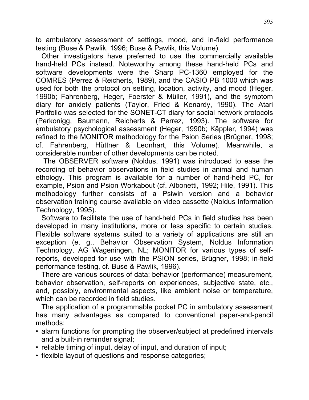to ambulatory assessment of settings, mood, and in-field performance testing (Buse & Pawlik, 1996; Buse & Pawlik, this Volume).

Other investigators have preferred to use the commercially available hand-held PCs instead. Noteworthy among these hand-held PCs and software developments were the Sharp PC-1360 employed for the COMRES (Perrez & Reicherts, 1989), and the CASIO PB 1000 which was used for both the protocol on setting, location, activity, and mood (Heger, 1990b; Fahrenberg, Heger, Foerster & Müller, 1991), and the symptom diary for anxiety patients (Taylor, Fried & Kenardy, 1990). The Atari Portfolio was selected for the SONET-CT diary for social network protocols (Perkonigg, Baumann, Reicherts & Perrez, 1993). The software for ambulatory psychological assessment (Heger, 1990b; Käppler, 1994) was refined to the MONITOR methodology for the Psion Series (Brügner, 1998; cf. Fahrenberg, Hüttner & Leonhart, this Volume). Meanwhile, a considerable number of other developments can be noted.

The OBSERVER software (Noldus, 1991) was introduced to ease the recording of behavior observations in field studies in animal and human ethology. This program is available for a number of hand-held PC, for example, Psion and Psion Workabout (cf. Albonetti, 1992; Hile, 1991). This methodology further consists of a Psiwin version and a behavior observation training course available on video cassette (Noldus Information Technology, 1995).

Software to facilitate the use of hand-held PCs in field studies has been developed in many institutions, more or less specific to certain studies. Flexible software systems suited to a variety of applications are still an exception (e. g., Behavior Observation System, Noldus Information Technology, AG Wageningen, NL; MONITOR for various types of selfreports, developed for use with the PSION series, Brügner, 1998; in-field performance testing, cf. Buse & Pawlik, 1996).

There are various sources of data: behavior (performance) measurement, behavior observation, self-reports on experiences, subjective state, etc., and, possibly, environmental aspects, like ambient noise or temperature, which can be recorded in field studies.

The application of a programmable pocket PC in ambulatory assessment has many advantages as compared to conventional paper-and-pencil methods:

- alarm functions for prompting the observer/subject at predefined intervals and a built-in reminder signal;
- reliable timing of input, delay of input, and duration of input;
- flexible layout of questions and response categories;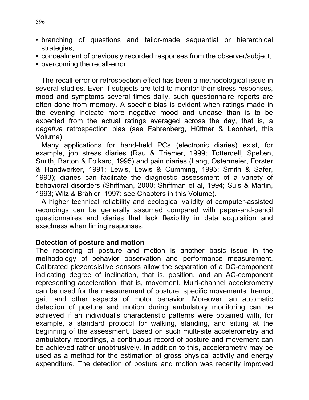- branching of questions and tailor-made sequential or hierarchical strategies;
- concealment of previously recorded responses from the observer/subject;
- overcoming the recall-error.

The recall-error or retrospection effect has been a methodological issue in several studies. Even if subjects are told to monitor their stress responses, mood and symptoms several times daily, such questionnaire reports are often done from memory. A specific bias is evident when ratings made in the evening indicate more negative mood and unease than is to be expected from the actual ratings averaged across the day, that is, a *negative* retrospection bias (see Fahrenberg, Hüttner & Leonhart, this Volume).

Many applications for hand-held PCs (electronic diaries) exist, for example, job stress diaries (Rau & Triemer, 1999; Totterdell, Spelten, Smith, Barton & Folkard, 1995) and pain diaries (Lang, Ostermeier, Forster & Handwerker, 1991; Lewis, Lewis & Cumming, 1995; Smith & Safer, 1993); diaries can facilitate the diagnostic assessment of a variety of behavioral disorders (Shiffman, 2000; Shiffman et al, 1994; Suls & Martin, 1993; Wilz & Brähler, 1997; see Chapters in this Volume).

A higher technical reliability and ecological validity of computer-assisted recordings can be generally assumed compared with paper-and-pencil questionnaires and diaries that lack flexibility in data acquisition and exactness when timing responses.

#### **Detection of posture and motion**

The recording of posture and motion is another basic issue in the methodology of behavior observation and performance measurement. Calibrated piezoresistive sensors allow the separation of a DC-component indicating degree of inclination, that is, position, and an AC-component representing acceleration, that is, movement. Multi-channel accelerometry can be used for the measurement of posture, specific movements, tremor, gait, and other aspects of motor behavior. Moreover, an automatic detection of posture and motion during ambulatory monitoring can be achieved if an individual's characteristic patterns were obtained with, for example, a standard protocol for walking, standing, and sitting at the beginning of the assessment. Based on such multi-site accelerometry and ambulatory recordings, a continuous record of posture and movement can be achieved rather unobtrusively. In addition to this, accelerometry may be used as a method for the estimation of gross physical activity and energy expenditure. The detection of posture and motion was recently improved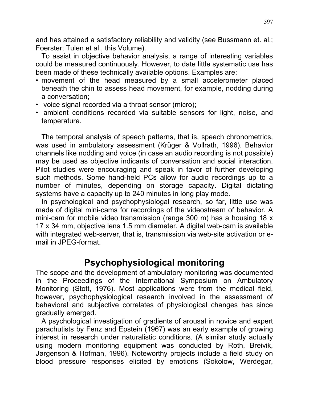and has attained a satisfactory reliability and validity (see Bussmann et. al.; Foerster; Tulen et al., this Volume).

To assist in objective behavior analysis, a range of interesting variables could be measured continuously. However, to date little systematic use has been made of these technically available options. Examples are:

- movement of the head measured by a small accelerometer placed beneath the chin to assess head movement, for example, nodding during a conversation;
- voice signal recorded via a throat sensor (micro);
- ambient conditions recorded via suitable sensors for light, noise, and temperature.

The temporal analysis of speech patterns, that is, speech chronometrics, was used in ambulatory assessment (Krüger & Vollrath, 1996). Behavior channels like nodding and voice (in case an audio recording is not possible) may be used as objective indicants of conversation and social interaction. Pilot studies were encouraging and speak in favor of further developing such methods. Some hand-held PCs allow for audio recordings up to a number of minutes, depending on storage capacity. Digital dictating systems have a capacity up to 240 minutes in long play mode.

In psychological and psychophysiologal research, so far, little use was made of digital mini-cams for recordings of the videostream of behavior. A mini-cam for mobile video transmission (range 300 m) has a housing 18 x 17 x 34 mm, objective lens 1.5 mm diameter. A digital web-cam is available with integrated web-server, that is, transmission via web-site activation or email in JPEG-format.

# **Psychophysiological monitoring**

The scope and the development of ambulatory monitoring was documented in the Proceedings of the International Symposium on Ambulatory Monitoring (Stott, 1976). Most applications were from the medical field, however, psychophysiological research involved in the assessment of behavioral and subjective correlates of physiological changes has since gradually emerged.

A psychological investigation of gradients of arousal in novice and expert parachutists by Fenz and Epstein (1967) was an early example of growing interest in research under naturalistic conditions. (A similar study actually using modern monitoring equipment was conducted by Roth, Breivik, Jørgenson & Hofman, 1996). Noteworthy projects include a field study on blood pressure responses elicited by emotions (Sokolow, Werdegar,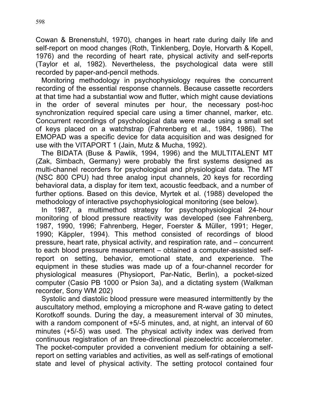Cowan & Brenenstuhl, 1970), changes in heart rate during daily life and self-report on mood changes (Roth, Tinklenberg, Doyle, Horvarth & Kopell, 1976) and the recording of heart rate, physical activity and self-reports (Taylor et al, 1982). Nevertheless, the psychological data were still recorded by paper-and-pencil methods.

Monitoring methodology in psychophysiology requires the concurrent recording of the essential response channels. Because cassette recorders at that time had a substantial wow and flutter, which might cause deviations in the order of several minutes per hour, the necessary post-hoc synchronization required special care using a timer channel, marker, etc. Concurrent recordings of psychological data were made using a small set of keys placed on a watchstrap (Fahrenberg et al., 1984, 1986). The EMOPAD was a specific device for data acquisition and was designed for use with the VITAPORT 1 (Jain, Mutz & Mucha, 1992).

The BIDATA (Buse & Pawlik, 1994, 1996) and the MULTITALENT MT (Zak, Simbach, Germany) were probably the first systems designed as multi-channel recorders for psychological and physiological data. The MT (NSC 800 CPU) had three analog input channels, 20 keys for recording behavioral data, a display for item text, acoustic feedback, and a number of further options. Based on this device, Myrtek et al. (1988) developed the methodology of interactive psychophysiological monitoring (see below).

In 1987, a multimethod strategy for psychophysiological 24-hour monitoring of blood pressure reactivity was developed (see Fahrenberg, 1987, 1990, 1996; Fahrenberg, Heger, Foerster & Müller, 1991; Heger, 1990; Käppler, 1994). This method consisted of recordings of blood pressure, heart rate, physical activity, and respiration rate, and – concurrent to each blood pressure measurement – obtained a computer-assisted selfreport on setting, behavior, emotional state, and experience. The equipment in these studies was made up of a four-channel recorder for physiological measures (Physioport, Par-Natic, Berlin), a pocket-sized computer (Casio PB 1000 or Psion 3a), and a dictating system (Walkman recorder, Sony WM 202)

Systolic and diastolic blood pressure were measured intermittently by the auscultatory method, employing a microphone and R-wave gating to detect Korotkoff sounds. During the day, a measurement interval of 30 minutes, with a random component of  $+5/-5$  minutes, and, at night, an interval of 60 minutes (+5/-5) was used. The physical activity index was derived from continuous registration of an three-directional piezoelectric accelerometer. The pocket-computer provided a convenient medium for obtaining a selfreport on setting variables and activities, as well as self-ratings of emotional state and level of physical activity. The setting protocol contained four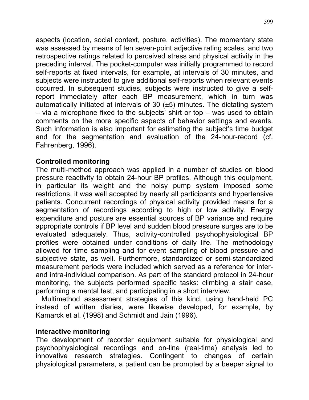aspects (location, social context, posture, activities). The momentary state was assessed by means of ten seven-point adjective rating scales, and two retrospective ratings related to perceived stress and physical activity in the preceding interval. The pocket-computer was initially programmed to record self-reports at fixed intervals, for example, at intervals of 30 minutes, and subjects were instructed to give additional self-reports when relevant events occurred. In subsequent studies, subjects were instructed to give a selfreport immediately after each BP measurement, which in turn was automatically initiated at intervals of 30 (±5) minutes. The dictating system – via a microphone fixed to the subjects' shirt or top – was used to obtain comments on the more specific aspects of behavior settings and events. Such information is also important for estimating the subject's time budget and for the segmentation and evaluation of the 24-hour-record (cf. Fahrenberg, 1996).

### **Controlled monitoring**

The multi-method approach was applied in a number of studies on blood pressure reactivity to obtain 24-hour BP profiles. Although this equipment, in particular its weight and the noisy pump system imposed some restrictions, it was well accepted by nearly all participants and hypertensive patients. Concurrent recordings of physical activity provided means for a segmentation of recordings according to high or low activity. Energy expenditure and posture are essential sources of BP variance and require appropriate controls if BP level and sudden blood pressure surges are to be evaluated adequately. Thus, activity-controlled psychophysiological BP profiles were obtained under conditions of daily life. The methodology allowed for time sampling and for event sampling of blood pressure and subjective state, as well. Furthermore, standardized or semi-standardized measurement periods were included which served as a reference for interand intra-individual comparison. As part of the standard protocol in 24-hour monitoring, the subjects performed specific tasks: climbing a stair case, performing a mental test, and participating in a short interview.

Multimethod assessment strategies of this kind, using hand-held PC instead of written diaries, were likewise developed, for example, by Kamarck et al. (1998) and Schmidt and Jain (1996).

#### **Interactive monitoring**

The development of recorder equipment suitable for physiological and psychophysiological recordings and on-line (real-time) analysis led to innovative research strategies. Contingent to changes of certain physiological parameters, a patient can be prompted by a beeper signal to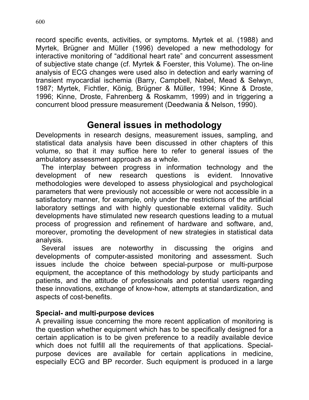record specific events, activities, or symptoms. Myrtek et al. (1988) and Myrtek, Brügner and Müller (1996) developed a new methodology for interactive monitoring of "additional heart rate" and concurrent assessment of subjective state change (cf. Myrtek & Foerster, this Volume). The on-line analysis of ECG changes were used also in detection and early warning of transient myocardial ischemia (Barry, Campbell, Nabel, Mead & Selwyn, 1987; Myrtek, Fichtler, König, Brügner & Müller, 1994; Kinne & Droste, 1996; Kinne, Droste, Fahrenberg & Roskamm, 1999) and in triggering a concurrent blood pressure measurement (Deedwania & Nelson, 1990).

# **General issues in methodology**

Developments in research designs, measurement issues, sampling, and statistical data analysis have been discussed in other chapters of this volume, so that it may suffice here to refer to general issues of the ambulatory assessment approach as a whole.

The interplay between progress in information technology and the development of new research questions is evident. Innovative methodologies were developed to assess physiological and psychological parameters that were previously not accessible or were not accessible in a satisfactory manner, for example, only under the restrictions of the artificial laboratory settings and with highly questionable external validity. Such developments have stimulated new research questions leading to a mutual process of progression and refinement of hardware and software, and, moreover, promoting the development of new strategies in statistical data analysis.

Several issues are noteworthy in discussing the origins and developments of computer-assisted monitoring and assessment. Such issues include the choice between special-purpose or multi-purpose equipment, the acceptance of this methodology by study participants and patients, and the attitude of professionals and potential users regarding these innovations, exchange of know-how, attempts at standardization, and aspects of cost-benefits.

## **Special- and multi-purpose devices**

A prevailing issue concerning the more recent application of monitoring is the question whether equipment which has to be specifically designed for a certain application is to be given preference to a readily available device which does not fulfill all the requirements of that applications. Specialpurpose devices are available for certain applications in medicine, especially ECG and BP recorder. Such equipment is produced in a large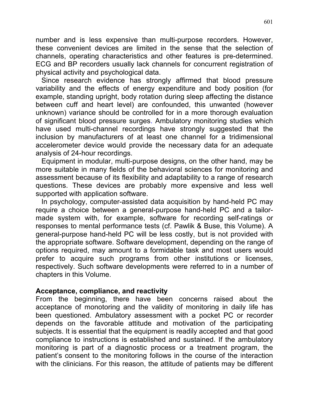number and is less expensive than multi-purpose recorders. However, these convenient devices are limited in the sense that the selection of channels, operating characteristics and other features is pre-determined. ECG and BP recorders usually lack channels for concurrent registration of physical activity and psychological data.

Since research evidence has strongly affirmed that blood pressure variability and the effects of energy expenditure and body position (for example, standing upright, body rotation during sleep affecting the distance between cuff and heart level) are confounded, this unwanted (however unknown) variance should be controlled for in a more thorough evaluation of significant blood pressure surges. Ambulatory monitoring studies which have used multi-channel recordings have strongly suggested that the inclusion by manufacturers of at least one channel for a tridimensional accelerometer device would provide the necessary data for an adequate analysis of 24-hour recordings.

Equipment in modular, multi-purpose designs, on the other hand, may be more suitable in many fields of the behavioral sciences for monitoring and assessment because of its flexibility and adaptability to a range of research questions. These devices are probably more expensive and less well supported with application software.

In psychology, computer-assisted data acquisition by hand-held PC may require a choice between a general-purpose hand-held PC and a tailormade system with, for example, software for recording self-ratings or responses to mental performance tests (cf. Pawlik & Buse, this Volume). A general-purpose hand-held PC will be less costly, but is not provided with the appropriate software. Software development, depending on the range of options required, may amount to a formidable task and most users would prefer to acquire such programs from other institutions or licenses, respectively. Such software developments were referred to in a number of chapters in this Volume.

#### **Acceptance, compliance, and reactivity**

From the beginning, there have been concerns raised about the acceptance of monotoring and the validity of monitoring in daily life has been questioned. Ambulatory assessment with a pocket PC or recorder depends on the favorable attitude and motivation of the participating subjects. It is essential that the equipment is readily accepted and that good compliance to instructions is established and sustained. If the ambulatory monitoring is part of a diagnostic process or a treatment program, the patient's consent to the monitoring follows in the course of the interaction with the clinicians. For this reason, the attitude of patients may be different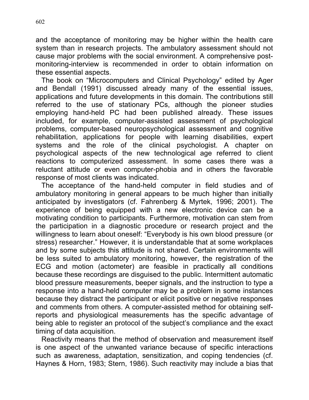and the acceptance of monitoring may be higher within the health care system than in research projects. The ambulatory assessment should not cause major problems with the social environment. A comprehensive postmonitoring-interview is recommended in order to obtain information on these essential aspects.

The book on "Microcomputers and Clinical Psychology" edited by Ager and Bendall (1991) discussed already many of the essential issues, applications and future developments in this domain. The contributions still referred to the use of stationary PCs, although the pioneer studies employing hand-held PC had been published already. These issues included, for example, computer-assisted assessment of psychological problems, computer-based neuropsychological assessment and cognitive rehabilitation, applications for people with learning disabilities, expert systems and the role of the clinical psychologist. A chapter on psychological aspects of the new technological age referred to client reactions to computerized assessment. In some cases there was a reluctant attitude or even computer-phobia and in others the favorable response of most clients was indicated.

The acceptance of the hand-held computer in field studies and of ambulatory monitoring in general appears to be much higher than initially anticipated by investigators (cf. Fahrenberg & Myrtek, 1996; 2001). The experience of being equipped with a new electronic device can be a motivating condition to participants. Furthermore, motivation can stem from the participation in a diagnostic procedure or research project and the willingness to learn about oneself: "Everybody is his own blood pressure (or stress) researcher." However, it is understandable that at some workplaces and by some subjects this attitude is not shared. Certain environments will be less suited to ambulatory monitoring, however, the registration of the ECG and motion (actometer) are feasible in practically all conditions because these recordings are disguised to the public. Intermittent automatic blood pressure measurements, beeper signals, and the instruction to type a response into a hand-held computer may be a problem in some instances because they distract the participant or elicit positive or negative responses and comments from others. A computer-assisted method for obtaining selfreports and physiological measurements has the specific advantage of being able to register an protocol of the subject's compliance and the exact timing of data acquisition.

Reactivity means that the method of observation and measurement itself is one aspect of the unwanted variance because of specific interactions such as awareness, adaptation, sensitization, and coping tendencies (cf. Haynes & Horn, 1983; Stern, 1986). Such reactivity may include a bias that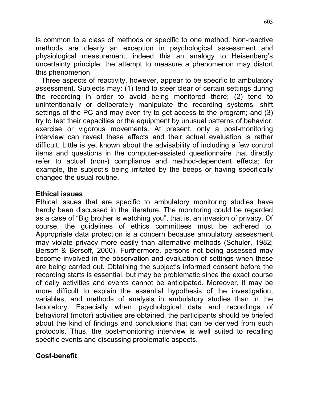is common to a class of methods or specific to one method. Non-reactive methods are clearly an exception in psychological assessment and physiological measurement, indeed this an analogy to Heisenberg's uncertainty principle: the attempt to measure a phenomenon may distort this phenomenon.

Three aspects of reactivity, however, appear to be specific to ambulatory assessment. Subjects may: (1) tend to steer clear of certain settings during the recording in order to avoid being monitored there; (2) tend to unintentionally or deliberately manipulate the recording systems, shift settings of the PC and may even try to get access to the program; and (3) try to test their capacities or the equipment by unusual patterns of behavior, exercise or vigorous movements. At present, only a post-monitoring interview can reveal these effects and their actual evaluation is rather difficult. Little is yet known about the advisability of including a few control items and questions in the computer-assisted questionnaire that directly refer to actual (non-) compliance and method-dependent effects; for example, the subject's being irritated by the beeps or having specifically changed the usual routine.

#### **Ethical issues**

Ethical issues that are specific to ambulatory monitoring studies have hardly been discussed in the literature. The monitoring could be regarded as a case of "Big brother is watching you", that is, an invasion of privacy. Of course, the guidelines of ethics committees must be adhered to. Appropriate data protection is a concern because ambulatory assessment may violate privacy more easily than alternative methods (Schuler, 1982; Bersoff & Bersoff, 2000). Furthermore, persons not being assessed may become involved in the observation and evaluation of settings when these are being carried out. Obtaining the subject's informed consent before the recording starts is essential, but may be problematic since the exact course of daily activities and events cannot be anticipated. Moreover, it may be more difficult to explain the essential hypothesis of the investigation, variables, and methods of analysis in ambulatory studies than in the laboratory. Especially when psychological data and recordings of behavioral (motor) activities are obtained, the participants should be briefed about the kind of findings and conclusions that can be derived from such protocols. Thus, the post-monitoring interview is well suited to recalling specific events and discussing problematic aspects.

#### **Cost-benefit**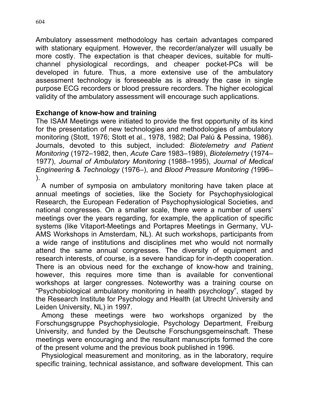Ambulatory assessment methodology has certain advantages compared with stationary equipment. However, the recorder/analyzer will usually be more costly. The expectation is that cheaper devices, suitable for multichannel physiological recordings, and cheaper pocket-PCs will be developed in future. Thus, a more extensive use of the ambulatory assessment technology is foreseeable as is already the case in single purpose ECG recorders or blood pressure recorders. The higher ecological validity of the ambulatory assessment will encourage such applications.

### **Exchange of know-how and training**

The ISAM Meetings were initiated to provide the first opportunity of its kind for the presentation of new technologies and methodologies of ambulatory monitoring (Stott, 1976; Stott et al., 1978, 1982; Dal Palú & Pessina, 1986). Journals, devoted to this subject, included: *Biotelemetry and Patient Monitoring* (1972–1982, then, *Acute Care* 1983–1989), *Biotelemetry* (1974– 1977), *Journal of Ambulatory Monitoring* (1988–1995), *Journal of Medical Engineering* & *Technology* (1976–), and *Blood Pressure Monitoring (*1996– ).

A number of symposia on ambulatory monitoring have taken place at annual meetings of societies, like the Society for Psychophysiological Research, the European Federation of Psychophysiological Societies, and national congresses. On a smaller scale, there were a number of users' meetings over the years regarding, for example, the application of specific systems (like Vitaport-Meetings and Portapres Meetings in Germany, VU-AMS Workshops in Amsterdam, NL). At such workshops, participants from a wide range of institutions and disciplines met who would not normally attend the same annual congresses. The diversity of equipment and research interests, of course, is a severe handicap for in-depth cooperation. There is an obvious need for the exchange of know-how and training, however, this requires more time than is available for conventional workshops at larger congresses. Noteworthy was a training course on "Psychobiological ambulatory monitoring in health psychology", staged by the Research Institute for Psychology and Health (at Utrecht University and Leiden University, NL) in 1997.

Among these meetings were two workshops organized by the Forschungsgruppe Psychophysiologie, Psychology Department, Freiburg University, and funded by the Deutsche Forschungsgemeinschaft. These meetings were encouraging and the resultant manuscripts formed the core of the present volume and the previous book published in 1996.

Physiological measurement and monitoring, as in the laboratory, require specific training, technical assistance, and software development. This can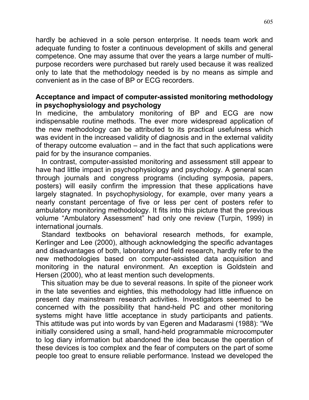hardly be achieved in a sole person enterprise. It needs team work and adequate funding to foster a continuous development of skills and general competence. One may assume that over the years a large number of multipurpose recorders were purchased but rarely used because it was realized only to late that the methodology needed is by no means as simple and convenient as in the case of BP or ECG recorders.

#### **Acceptance and impact of computer-assisted monitoring methodology in psychophysiology and psychology**

In medicine, the ambulatory monitoring of BP and ECG are now indispensable routine methods. The ever more widespread application of the new methodology can be attributed to its practical usefulness which was evident in the increased validity of diagnosis and in the external validity of therapy outcome evaluation – and in the fact that such applications were paid for by the insurance companies.

In contrast, computer-assisted monitoring and assessment still appear to have had little impact in psychophysiology and psychology. A general scan through journals and congress programs (including symposia, papers, posters) will easily confirm the impression that these applications have largely stagnated. In psychophysiology, for example, over many years a nearly constant percentage of five or less per cent of posters refer to ambulatory monitoring methodology. It fits into this picture that the previous volume "Ambulatory Assessment" had only one review (Turpin, 1999) in international journals.

Standard textbooks on behavioral research methods, for example, Kerlinger and Lee (2000), although acknowledging the specific advantages and disadvantages of both, laboratory and field research, hardly refer to the new methodologies based on computer-assisted data acquisition and monitoring in the natural environment. An exception is Goldstein and Hersen (2000), who at least mention such developments.

This situation may be due to several reasons. In spite of the pioneer work in the late seventies and eighties, this methodology had little influence on present day mainstream research activities. Investigators seemed to be concerned with the possibility that hand-held PC and other monitoring systems might have little acceptance in study participants and patients. This attitude was put into words by van Egeren and Madarasmi (1988): "We initially considered using a small, hand-held programmable microcomputer to log diary information but abandoned the idea because the operation of these devices is too complex and the fear of computers on the part of some people too great to ensure reliable performance. Instead we developed the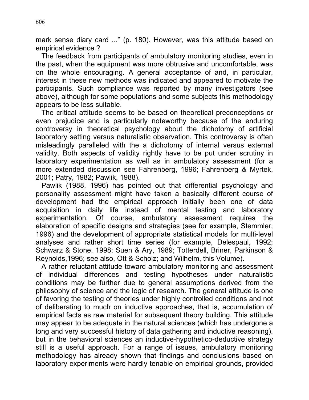mark sense diary card ..." (p. 180). However, was this attitude based on empirical evidence ?

The feedback from participants of ambulatory monitoring studies, even in the past, when the equipment was more obtrusive and uncomfortable, was on the whole encouraging. A general acceptance of and, in particular, interest in these new methods was indicated and appeared to motivate the participants. Such compliance was reported by many investigators (see above), although for some populations and some subjects this methodology appears to be less suitable.

The critical attitude seems to be based on theoretical preconceptions or even prejudice and is particularly noteworthy because of the enduring controversy in theoretical psychology about the dichotomy of artificial laboratory setting versus naturalistic observation. This controversy is often misleadingly paralleled with the a dichotomy of internal versus external validity. Both aspects of validity rightly have to be put under scrutiny in laboratory experimentation as well as in ambulatory assessment (for a more extended discussion see Fahrenberg, 1996; Fahrenberg & Myrtek, 2001; Patry, 1982; Pawlik, 1988).

Pawlik (1988, 1996) has pointed out that differential psychology and personality assessment might have taken a basically different course of development had the empirical approach initially been one of data acquisition in daily life instead of mental testing and laboratory experimentation. Of course, ambulatory assessment requires the elaboration of specific designs and strategies (see for example, Stemmler, 1996) and the development of appropriate statistical models for multi-level analyses and rather short time series (for example, Delespaul, 1992; Schwarz & Stone, 1998; Suen & Ary, 1989; Totterdell, Briner, Parkinson & Reynolds,1996; see also, Ott & Scholz; and Wilhelm, this Volume).

A rather reluctant attitude toward ambulatory monitoring and assessment of individual differences and testing hypotheses under naturalistic conditions may be further due to general assumptions derived from the philosophy of science and the logic of research. The general attitude is one of favoring the testing of theories under highly controlled conditions and not of deliberating to much on inductive approaches, that is, accumulation of empirical facts as raw material for subsequent theory building. This attitude may appear to be adequate in the natural sciences (which has undergone a long and very successful history of data gathering and inductive reasoning), but in the behavioral sciences an inductive-hypothetico-deductive strategy still is a useful approach. For a range of issues, ambulatory monitoring methodology has already shown that findings and conclusions based on laboratory experiments were hardly tenable on empirical grounds, provided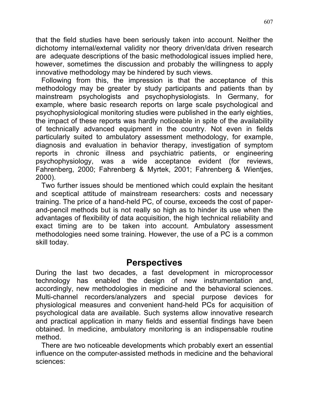that the field studies have been seriously taken into account. Neither the dichotomy internal/external validity nor theory driven/data driven research are adequate descriptions of the basic methodological issues implied here, however, sometimes the discussion and probably the willingness to apply innovative methodology may be hindered by such views.

Following from this, the impression is that the acceptance of this methodology may be greater by study participants and patients than by mainstream psychologists and psychophysiologists. In Germany, for example, where basic research reports on large scale psychological and psychophysiological monitoring studies were published in the early eighties, the impact of these reports was hardly noticeable in spite of the availability of technically advanced equipment in the country. Not even in fields particularly suited to ambulatory assessment methodology, for example, diagnosis and evaluation in behavior therapy, investigation of symptom reports in chronic illness and psychiatric patients, or engineering psychophysiology, was a wide acceptance evident (for reviews, Fahrenberg, 2000; Fahrenberg & Myrtek, 2001; Fahrenberg & Wientjes, 2000).

Two further issues should be mentioned which could explain the hesitant and sceptical attitude of mainstream researchers: costs and necessary training. The price of a hand-held PC, of course, exceeds the cost of paperand-pencil methods but is not really so high as to hinder its use when the advantages of flexibility of data acquisition, the high technical reliability and exact timing are to be taken into account. Ambulatory assessment methodologies need some training. However, the use of a PC is a common skill today.

## **Perspectives**

During the last two decades, a fast development in microprocessor technology has enabled the design of new instrumentation and, accordingly, new methodologies in medicine and the behavioral sciences. Multi-channel recorders/analyzers and special purpose devices for physiological measures and convenient hand-held PCs for acquisition of psychological data are available. Such systems allow innovative research and practical application in many fields and essential findings have been obtained. In medicine, ambulatory monitoring is an indispensable routine method.

There are two noticeable developments which probably exert an essential influence on the computer-assisted methods in medicine and the behavioral sciences: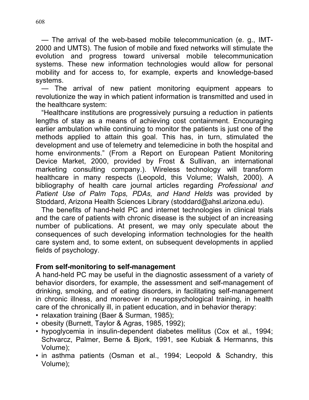— The arrival of the web-based mobile telecommunication (e. g., IMT-2000 and UMTS). The fusion of mobile and fixed networks will stimulate the evolution and progress toward universal mobile telecommunication systems. These new information technologies would allow for personal mobility and for access to, for example, experts and knowledge-based systems.

The arrival of new patient monitoring equipment appears to revolutionize the way in which patient information is transmitted and used in the healthcare system:

"Healthcare institutions are progressively pursuing a reduction in patients lengths of stay as a means of achieving cost containment. Encouraging earlier ambulation while continuing to monitor the patients is just one of the methods applied to attain this goal. This has, in turn, stimulated the development and use of telemetry and telemedicine in both the hospital and home environments." (From a Report on European Patient Monitoring Device Market, 2000, provided by Frost & Sullivan, an international marketing consulting company.). Wireless technology will transform healthcare in many respects (Leopold, this Volume; Walsh, 2000). A bibliography of health care journal articles regarding *Professional and Patient Use of Palm Tops, PDAs, and Hand Helds* was provided by Stoddard, Arizona Health Sciences Library (stoddard@ahsl.arizona.edu).

The benefits of hand-held PC and internet technologies in clinical trials and the care of patients with chronic disease is the subject of an increasing number of publications. At present, we may only speculate about the consequences of such developing information technologies for the health care system and, to some extent, on subsequent developments in applied fields of psychology.

#### **From self-monitoring to self-management**

A hand-held PC may be useful in the diagnostic assessment of a variety of behavior disorders, for example, the assessment and self-management of drinking, smoking, and of eating disorders, in facilitating self-management in chronic illness, and moreover in neuropsychological training, in health care of the chronically ill, in patient education, and in behavior therapy:

- relaxation training (Baer & Surman, 1985);
- obesity (Burnett, Taylor & Agras, 1985, 1992);
- hypoglycemia in insulin-dependent diabetes mellitus (Cox et al., 1994; Schvarcz, Palmer, Berne & Bjork, 1991, see Kubiak & Hermanns, this Volume);
- in asthma patients (Osman et al., 1994; Leopold & Schandry, this Volume);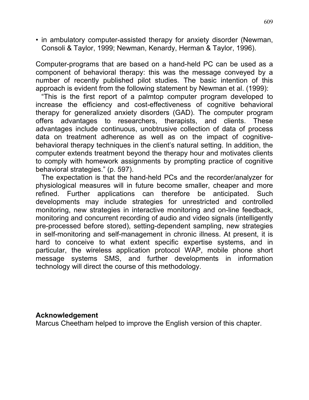• in ambulatory computer-assisted therapy for anxiety disorder (Newman, Consoli & Taylor, 1999; Newman, Kenardy, Herman & Taylor, 1996).

Computer-programs that are based on a hand-held PC can be used as a component of behavioral therapy: this was the message conveyed by a number of recently published pilot studies. The basic intention of this approach is evident from the following statement by Newman et al. (1999):

"This is the first report of a palmtop computer program developed to increase the efficiency and cost-effectiveness of cognitive behavioral therapy for generalized anxiety disorders (GAD). The computer program offers advantages to researchers, therapists, and clients. These advantages include continuous, unobtrusive collection of data of process data on treatment adherence as well as on the impact of cognitivebehavioral therapy techniques in the client's natural setting. In addition, the computer extends treatment beyond the therapy hour and motivates clients to comply with homework assignments by prompting practice of cognitive behavioral strategies." (p. 597).

The expectation is that the hand-held PCs and the recorder/analyzer for physiological measures will in future become smaller, cheaper and more refined. Further applications can therefore be anticipated. Such developments may include strategies for unrestricted and controlled monitoring, new strategies in interactive monitoring and on-line feedback, monitoring and concurrent recording of audio and video signals (intelligently pre-processed before stored), setting-dependent sampling, new strategies in self-monitoring and self-management in chronic illness. At present, it is hard to conceive to what extent specific expertise systems, and in particular, the wireless application protocol WAP, mobile phone short message systems SMS, and further developments in information technology will direct the course of this methodology.

#### **Acknowledgement**

Marcus Cheetham helped to improve the English version of this chapter.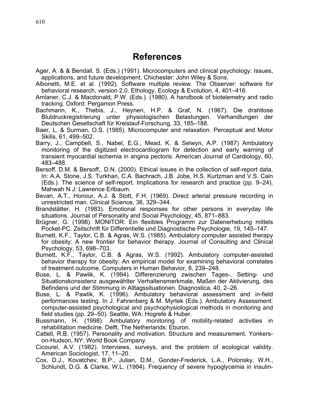## **References**

- Ager, A. & & Bendall, S. (Eds.) (1991). Microcomputers and clinical psychology: Issues, applications, and future development. Chichester: John Wiley & Sons.
- Albonetti, M.E. et al. (1992). Software multiple review. The Observer: software for behavioral research, version 2.0. Ethology, Ecology & Evolution, 4, 401–416.
- Amlaner, C.J. & Macdonald, P.W. (Eds.). (1980). A handbook of biotelemetry and radio tracking. Oxford: Pergamon Press.
- Bachmann, K., Thebis, J., Heynen, H.P. & Graf, N. (1967). Die drahtlose Blutdruckregistrierung unter physiologischen Belastungen. Verhandlungen der Deutschen Gesellschaft für Kreislauf-Forschung, 33, 185–188.
- Baer, L. & Surman, O.S. (1985). Microcomputer and relaxation. Perceptual and Motor Skills, 61, 499–502.
- Barry, J., Campbell, S., Nabel, E.G., Mead, K. & Selwyn, A.P. (1987) Ambulatory monitoring of the digitized electrocardiogram for detection and early warning of transient myocardial ischemia in angina pectoris. American Journal of Cardiology, 60, 483–488.
- Bersoff, D.M. & Bersoff,. D.N. (2000). Ethical issues in the collection of self-report data. In: A.A. Stone, J.S. Turkhan, C.A. Bachrach, J.B. Jobe, H.S. Kurtzman and V.S. Cain (Eds.). The science of self-report. Implications for research and practice (pp. 9–24). Mahwah N J: Lawrence Erlbaum.
- Bevan, A.T., Honour, A.J. & Stott, F.H. (1969). Direct arterial pressure recording in unrestricted man. Clinical Science, 36, 329–344.
- Brandstätter, H. (1983). Emotional responses for other persons in everyday life situations. Journal of Personality and Social Psychology, 45, 871–883.
- Brügner, G. (1998). MONITOR: Ein flexibles Programm zur Datenerhebung mittels Pocket-PC. Zeitschrift für Differentielle und Diagnostische Psychologie, 19, 145–147.
- Burnett, K.F., Taylor, C.B. & Agras, W.S. (1985). Ambulatory computer assisted therapy for obesity: A new frontier for behavior therapy. Journal of Consulting and Clinical Psychology, 53, 698–703.
- Burnett, K.F., Taylor, C.B. & Agras, W.S. (1992). Ambulatory computer-assisted behavior therapy for obesity: An empirical model for examining behavioral correlates of treatment outcome. Computers in Human Behavior, 8, 239–248.
- Buse, L. & Pawlik, K. (1994). Differenzierung zwischen Tages-, Setting- und Situationskonsistenz ausgewählter Verhaltensmerkmale, Maßen der Aktivierung, des Befindens und der Stimmung in Alltagssituationen. Diagnostica, 40, 2–26.
- Buse, L. & Pawlik, K. (1996). Ambulatory behavioral assessment and in-field performances testing. In J. Fahrenberg & M. Myrtek (Eds.). Ambulatory Assessment: computer-assisted psychological and psychophysiological methods in monitoring and field studies (pp. 29–50). Seattle, WA: Hogrefe & Huber.
- Bussmann, H. (1998). Ambulatory monitoring of mobility-related activities in rehabilitation medicine. Delft, The Netherlands: Eburon.
- Cattell, R.B. (1957). Personality and motivation. Structure and measurement. Yonkerson-Hudson, NY: World Book Company.
- Cicourel, A.V. (1982). Interviews, surveys, and the problem of ecological validity. American Sociologist, 17, 11–20.
- Cox, D.J., Kovatchev, B.P., Julian, D.M., Gonder-Frederick, L.A., Polonsky, W.H., Schlundt, D.G. & Clarke, W.L. (1994). Frequency of severe hypoglycemia in insulin-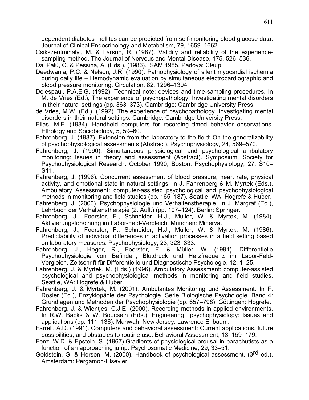dependent diabetes mellitus can be predicted from self-monitoring blood glucose data. Journal of Clinical Endocrinology and Metabolism, 79, 1659–1662.

Csikszentmihalyi, M. & Larson, R. (1987). Validity and reliability of the experiencesampling method. The Journal of Nervous and Mental Disease, 175, 526–536.

Dal Palù, C. & Pessina, A. (Eds.). (1986). ISAM 1985. Padova: Cleup.

- Deedwania, P.C. & Nelson, J.R. (1990). Pathophysiology of silent myocardial ischemia during daily life – Hemodynamic evaluation by simultaneous electrocardiographic and blood pressure monitoring. Circulation, 82, 1296–1304.
- Delespaul, P.A.E.G. (1992). Technical note: devices and time-sampling procedures. In M. de Vries (Ed.), The experience of psychopathology. Investigating mental disorders in their natural settings (pp. 363–373). Cambridge: Cambridge University Press.
- de Vries, M.W. (Ed.). (1992). The experience of psychopathology. Investigating mental disorders in their natural settings. Cambridge: Cambridge University Press.
- Elias, M.F. (1984). Handheld computers for recording timed behavior observations. Ethology and Sociobiology, 5, 59–60.
- Fahrenberg, J. (1987). Extension from the laboratory to the field: On the generalizability of psychophysiological assessments (Abstract). Psychophysiology, 24, 569–570.
- Fahrenberg, J. (1990). Simultaneous physiological and psychological ambulatory monitoring: Issues in theory and assessment (Abstract). Symposium. Society for Psychophysiological Research. October 1990, Boston. Psychophysiology, 27, S10– S11.
- Fahrenberg, J. (1996). Concurrent assessment of blood pressure, heart rate, physical activity, and emotional state in natural settings. In J. Fahrenberg & M. Myrtek (Eds.). Ambulatory Assessment: computer-assisted psychological and psychophysiological methods in monitoring and field studies (pp. 165–187). Seattle, WA: Hogrefe & Huber.
- Fahrenberg, J. (2000). Psychophysiologie und Verhaltenstherapie. In J. Margraf (Ed.), Lehrbuch der Verhaltenstherapie (2. Aufl.) (pp. 107–124). Berlin: Springer.
- Fahrenberg, J., Foerster, F., Schneider, H.J., Müller, W. & Myrtek, M. (1984). Aktivierungsforschung im Labor-Feld-Vergleich. München: Minerva.
- Fahrenberg, J., Foerster, F., Schneider, H.J., Müller, W. & Myrtek, M. (1986). Predictability of individual differences in activation processes in a field setting based on laboratory measures. Psychophysiology, 23, 323–333.
- Fahrenberg, J., Heger, R., Foerster, F. & Müller, W. (1991). Differentielle Psychophysiologie von Befinden, Blutdruck und Herzfrequenz im Labor-Feld-Vergleich. Zeitschrift für Differentielle und Diagnostische Psychologie, 12, 1–25.
- Fahrenberg, J. & Myrtek, M. (Eds.) (1996). Ambulatory Assessment: computer-assisted psychological and psychophysiological methods in monitoring and field studies. Seattle, WA: Hogrefe & Huber.
- Fahrenberg, J. & Myrtek, M. (2001). Ambulantes Monitoring und Assessment. In F. Rösler (Ed.), Enzyklopädie der Psychologie. Serie Biologische Psychologie. Band 4: Grundlagen und Methoden der Psychophysiologie (pp. 657–798). Göttingen: Hogrefe.
- Fahrenberg, J. & Wientjes, C.J.E. (2000). Recording methods in applied environments. In R.W. Backs & W. Boucsein (Eds.), Engineering psychophysiology: Issues and applications (pp. 111–136). Mahwah, New Jersey: Lawrence Erlbaum.
- Farrell, A.D. (1991). Computers and behavioral assessment: Current applications, future possibilities, and obstacles to routine use. Behavioral Assessment, 13, 159–179.
- Fenz, W.D. & Epstein, S. (1967).Gradients of physiological arousal in parachutists as a function of an approaching jump. Psychosomatic Medicine, 29, 33–51.
- Goldstein, G. & Hersen, M. (2000). Handbook of psychological assessment. (3<sup>rd</sup> ed.). Amsterdam: Pergamon-Elsevier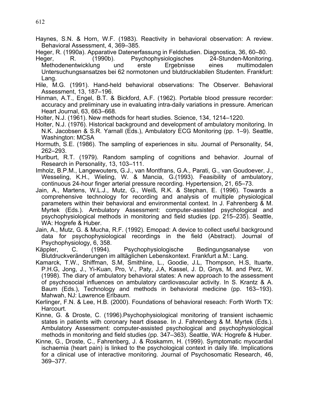- Haynes, S.N. & Horn, W.F. (1983). Reactivity in behavioral observation: A review. Behavioral Assessment, 4, 369–385.
- Heger, R. (1990a). Apparative Datenerfassung in Feldstudien. Diagnostica, 36, 60–80.<br>Heger. R. (1990b). Psychophysiologisches 24-Stunden-Monitorin
- R. (1990b). Psychophysiologisches 24-Stunden-Monitoring. Methodenentwicklung und erste Ergebnisse eines multimodalen Untersuchungsansatzes bei 62 normotonen und blutdrucklabilen Studenten. Frankfurt: Lang.
- Hile, M.G. (1991). Hand-held behavioral observations: The Observer. Behavioral Assessment, 13, 187–196.
- Hinman, A.T., Engel, B.T. & Bickford, A.F. (1962). Portable blood pressure recorder: accuracy and preliminary use in evaluating intra-daily variations in pressure. American Heart Journal, 63, 663–668.
- Holter, N.J. (1961). New methods for heart studies. Science, 134, 1214–1220.
- Holter, N.J. (1976). Historical background and development of ambulatory monitoring. In N.K. Jacobsen & S.R. Yarnall (Eds.), Ambulatory ECG Monitoring (pp. 1–9). Seattle, Washington: MCSA
- Hormuth, S.E. (1986). The sampling of experiences in situ. Journal of Personality, 54, 262–293.
- Hurlburt, R.T. (1979). Random sampling of cognitions and behavior. Journal of Research in Personality, 13, 103–111.
- Imholz, B.P.M., Langewouters, G.J., van Montfrans, G.A., Parati, G., van Goudoever, J., Wesseling, K.H., Wieling, W. & Mancia, G.(1993). Feasibility of ambulatory, continuous 24-hour finger arterial pressure recording. Hypertension, 21, 65–73.
- Jain, A., Martens, W.L.J., Mutz, G., Weiß, R.K. & Stephan, E. (1996). Towards a comprehensive technology for recording and analysis of multiple physiological parameters within their behavioral and environmental context. In J. Fahrenberg & M. Myrtek (Eds.). Ambulatory Assessment: computer-assisted psychological and psychophysiological methods in monitoring and field studies (pp. 215–235). Seattle, WA: Hogrefe & Huber.
- Jain, A., Mutz, G. & Mucha, R.F. (1992). Emopad: A device to collect useful background data for psychophysiological recordings in the field (Abstract). Journal of Psychophysiology, 6, 358.
- Käppler, C. (1994). Psychophysiologische Bedingungsanalyse von Blutdruckveränderungen im alltäglichen Lebenskontext. Frankfurt a.M.: Lang.
- Kamarck, T.W., Shiffman, S.M, Smithline, L., Goodie, J.L, Thompson, H.S, Ituarte, P.H.G, Jong, J., Yi-Kuan, Pro, V., Paty, J.A, Kassel, J. D, Gnys, M. and Perz, W. (1998). The diary of ambulatory behavioral states: A new approach to the assessment of psychosocial influences on ambulatory cardiovascular activity. In S. Krantz & A. Baum (Eds.), Technology and methods in behavioral medicine (pp. 163–193). Mahwah, NJ: Lawrence Erlbaum.
- Kerlinger, F.N. & Lee, H.B. (2000). Foundations of behavioral reseach: Forth Worth TX: Harcourt.
- Kinne, G. & Droste, C. (1996).Psychophysiological monitoring of transient ischaemic states in patients with coronary heart disease. In J. Fahrenberg & M. Myrtek (Eds.). Ambulatory Assessment: computer-assisted psychological and psychophysiological methods in monitoring and field studies (pp. 347–363). Seattle, WA: Hogrefe & Huber.
- Kinne, G., Droste, C., Fahrenberg, J. & Roskamm, H. (1999). Symptomatic myocardial ischaemia (heart pain) is linked to the psychological context in daily life. Implications for a clinical use of interactive monitoring. Journal of Psychosomatic Research, 46, 369–377.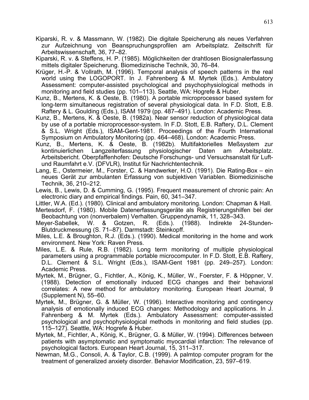- Kiparski, R. v. & Massmann, W. (1982). Die digitale Speicherung als neues Verfahren zur Aufzeichnung von Beanspruchungsprofilen am Arbeitsplatz. Zeitschrift für Arbeitswissenschaft, 36, 77–82.
- Kiparski, R. v. & Steffens, H. P. (1985). Möglichkeiten der drahtlosen Biosignalerfassung mittels digitaler Speicherung. Biomedizinische Technik, 30, 76–84.
- Krüger, H.-P. & Vollrath, M. (1996). Temporal analysis of speech patterns in the real world using the LOGOPORT. In J. Fahrenberg & M. Myrtek (Eds.). Ambulatory Assessment: computer-assisted psychological and psychophysiological methods in monitoring and field studies (pp. 101–113). Seattle, WA: Hogrefe & Huber.
- Kunz, B., Mertens, K. & Oeste, B. (1980). A portable microprocessor based system for long-term simultaneous registration of several physiological data. In F.D. Stott, E.B. Raftery & L. Goulding (Eds.), ISAM 1979 (pp. 487–491). London: Academic Press.
- Kunz, B., Mertens, K. & Oeste, B. (1982a). Near sensor reduction of physiological data by use of a portable microprocessor-system. In F.D. Stott, E.B. Raftery, D.L. Clement & S.L. Wright (Eds.), ISAM-Gent-1981. Proceedings of the Fourth International Symposium on Ambulatory Monitoring (pp. 464–468). London: Academic Press.
- Kunz, B., Mertens, K. & Oeste, B. (1982b). Multifaktorielles Meßsystem zur kontinuierlichen Langzeiterfassung physiologischer Daten am Arbeitsplatz. Arbeitsbericht. Oberpfaffenhofen: Deutsche Forschungs- und Versuchsanstalt für Luftund Raumfahrt e.V. (DFVLR), Institut für Nachrichtentechnik.
- Lang, E., Ostermeier, M., Forster, C. & Handwerker, H.O. (1991). Die Rating-Box ein neues Gerät zur ambulanten Erfassung von subjektiven Variablen. Biomedizinische Technik, 36, 210–212.
- Lewis, B., Lewis, D. & Cumming, G. (1995). Frequent measurement of chronic pain: An electronic diary and empirical findings. Pain, 60, 341–347.
- Littler, W.A. (Ed.). (1980). Clinical and ambulatory monitoring. London: Chapman & Hall.
- Mertesdorf, F. (1980). Mobile Datenerfassungsgeräte als Registrierungshilfen bei der Beobachtung von (nonverbalem) Verhalten. Gruppendynamik, 11, 328–343.
- Meyer-Sabellek, W. & Gotzen, R. (Eds.). (1988). Indirekte 24-Stunden-Blutdruckmessung (S. 71–87). Darmstadt: Steinkopff.
- Miles, L.E. & Broughton, R.J. (Eds.). (1990). Medical monitoring in the home and work environment. New York: Raven Press.
- Miles, L.E. & Rule, R.B. (1982). Long term monitoring of multiple physiological parameters using a programmable portable microcomputer. In F.D. Stott, E.B. Raftery, D.L. Clement & S.L. Wright (Eds.), ISAM-Gent 1981 (pp. 249–257). London: Academic Press.
- Myrtek, M., Brügner, G., Fichtler, A., König, K., Müller, W., Foerster, F. & Höppner, V. (1988). Detection of emotionally induced ECG changes and their behavioral correlates: A new method for ambulatory monitoring. European Heart Journal, 9 (Supplement N), 55–60.
- Myrtek, M., Brügner, G. & Müller, W. (1996). Interactive monitoring and contingency analysis of emotionally induced ECG changes: Methodology and applications. In J. Fahrenberg & M. Myrtek (Eds.). Ambulatory Assessment: computer-assisted psychological and psychophysiological methods in monitoring and field studies (pp. 115–127). Seattle, WA: Hogrefe & Huber.
- Myrtek, M., Fichtler, A., König, K., Brügner, G. & Müller, W. (1994). Differences between patients with asymptomatic and symptomatic myocardial infarction: The relevance of psychological factors. European Heart Journal, 15, 311–317.
- Newman, M.G., Consoli, A. & Taylor, C.B. (1999). A palmtop computer program for the treatment of generalized anxiety disorder. Behavior Modification, 23, 597–619.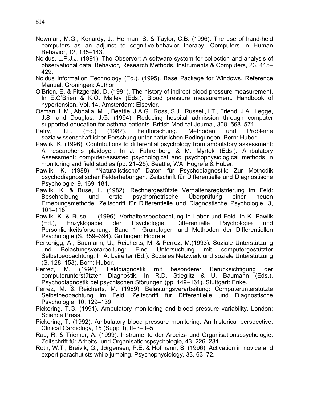- Newman, M.G., Kenardy, J., Herman, S. & Taylor, C.B. (1996). The use of hand-held computers as an adjunct to cognitive-behavior therapy. Computers in Human Behavior, 12, 135–143.
- Noldus, L.P.J.J. (1991). The Observer: A software system for collection and analysis of observational data. Behavior, Research Methods, Instruments & Computers, 23, 415– 429.
- Noldus Information Technology (Ed.). (1995). Base Package for Windows. Reference Manual. Groningen: Author.
- O'Brien, E. & Fitzgerald, D. (1991). The history of indirect blood pressure measurement. In E.O'Brien & K.O. Malley (Eds.). Blood pressure measurement. Handbook of hypertension. Vol. 14. Amsterdam: Elsevier.
- Osman, L.M., Abdalla, M.I., Beattie, J.A.G., Ross, S.J., Russell, I.T., Friend, J.A., Legge, J.S. and Douglas, J.G. (1994). Reducing hospital admission through computer supported education for asthma patients. British Medical Journal, 308, 568–571.<br>atry, J.L. (Ed.) (1982). Feldforschung. Methoden und Prol
- Patry, J.L. (Ed.) (1982). Feldforschung. Methoden und Probleme sozialwissenschaftlicher Forschung unter natürlichen Bedingungen. Bern: Huber.
- Pawlik, K. (1996). Contributions to differential psychology from ambulatory assessment: A researcher's plaidoyer. In J. Fahrenberg & M. Myrtek (Eds.). Ambulatory Assessment: computer-assisted psychological and psychophysiological methods in monitoring and field studies (pp. 21–25). Seattle, WA: Hogrefe & Huber.
- Pawlik, K. (1988). "Naturalistische" Daten für Psychodiagnostik: Zur Methodik psychodiagnostischer Felderhebungen. Zeitschrift für Differentielle und Diagnostische Psychologie, 9, 169–181.
- Pawlik, K. & Buse, L. (1982). Rechnergestützte Verhaltensregistrierung im Feld: Beschreibung und erste psychometrische Überprüfung einer neuen Erhebungsmethode. Zeitschrift für Differentielle und Diagnostische Psychologie, 3, 101–118.
- Pawlik, K. & Buse, L. (1996). Verhaltensbeobachtung in Labor und Feld. In K. Pawlik (Ed.), Enzyklopädie der Psychologie. Differentielle Psychologie und Persönlichkeitsforschung. Band 1. Grundlagen und Methoden der Differentiellen Psychologie (S. 359–394). Göttingen: Hogrefe.
- Perkonigg, A., Baumann, U., Reicherts, M. & Perrez, M.(1993). Soziale Unterstützung und Belastungsverarbeitung: Eine Untersuchung mit computergestützter Selbstbeobachtung. In A. Laireiter (Ed.). Soziales Netzwerk und soziale Unterstützung (S. 128–153). Bern: Huber.
- Perrez, M. (1994). Felddiagnostik mit besonderer Berücksichtigung der computerunterstützten Diagnostik. In R.D. Stieglitz & U. Baumann (Eds.), Psychodiagnostik bei psychischen Störungen (pp. 149–161). Stuttgart: Enke.
- Perrez, M. & Reicherts, M. (1989). Belastungsverarbeitung: Computerunterstützte Selbstbeobachtung im Feld. Zeitschrift für Differentielle und Diagnostische Psychologie, 10, 129–139.
- Pickering, T.G. (1991). Ambulatory monitoring and blood pressure variability. London: Science Press.
- Pickering, T. (1992). Ambulatory blood pressure monitoring: An historical perspective. Clinical Cardiology, 15 (Suppl I), II–3–II–5.
- Rau, R. & Triemer, A. (1999). Instrumente der Arbeits- und Organisationspsychologie. Zeitschrift für Arbeits- und Organisationspsychologie, 43, 226–231.
- Roth, W.T., Breivik, G., Jørgensen, P.E. & Hofmann, S. (1996). Activation in novice and expert parachutists while jumping. Psychophysiology, 33, 63–72.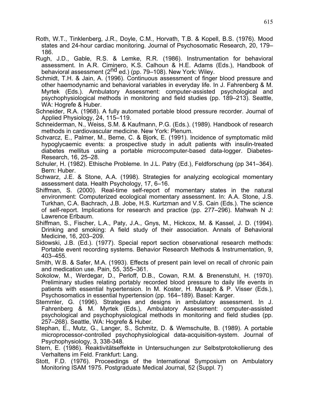- Roth, W.T., Tinklenberg, J.R., Doyle, C.M., Horvath, T.B. & Kopell, B.S. (1976). Mood states and 24-hour cardiac monitoring. Journal of Psychosomatic Research, 20, 179– 186.
- Rugh, J.D., Gable, R.S. & Lemke, R.R. (1986). Instrumentation for behavioral assessment. In A.R. Ciminero, K.S. Calhoun & H.E. Adams (Eds.), Handbook of behavioral assessment (2<sup>nd</sup> ed.) (pp. 79–108). New York: Wiley.
- Schmidt, T.H. & Jain, A. (1996). Continuous assessment of finger blood pressure and other haemodynamic and behavioral variables in everyday life. In J. Fahrenberg & M. Myrtek (Eds.). Ambulatory Assessment: computer-assisted psychological and psychophysiological methods in monitoring and field studies (pp. 189–213). Seattle, WA: Hogrefe & Huber.
- Schneider, R.A. (1968). A fully automated portable blood pressure recorder. Journal of Applied Physiology, 24, 115–119.
- Schneiderman, N., Weiss, S.M. & Kaufmann, P.G. (Eds.). (1989). Handbook of research methods in cardiovascular medicine. New York: Plenum.
- Schvarcz, E., Palmer, M., Berne, C. & Bjork, E. (1991). Incidence of symptomatic mild hypoglycaemic events: a prospective study in adult patients with insulin-treated diabetes mellitus using a portable microcomputer-based data-logger. Diabetes-Research, 16, 25–28.
- Schuler, H. (1982). Ethische Probleme. In J.L. Patry (Ed.), Feldforschung (pp 341–364). Bern: Huber.
- Schwarz, J.E. & Stone, A.A. (1998). Strategies for analyzing ecological momentary assessment data. Health Psychology, 17, 6–16.
- Shiffman, S. (2000). Real-time self-report of momentary states in the natural environment: Computerized ecological momentary assessment. In: A.A. Stone, J.S. Turkhan, C.A. Bachrach, J.B. Jobe, H.S. Kurtzman and V.S. Cain (Eds.). The science of self-report. Implications for research and practice (pp. 277–296). Mahwah N J: Lawrence Erlbaum.
- Shiffman, S., Fischer, L.A., Paty, J.A., Gnys, M., Hickcox, M. & Kassel, J. D. (1994). Drinking and smoking: A field study of their association. Annals of Behavioral Medicine, 16, 203–209.
- Sidowski, J.B. (Ed.). (1977). Special report section observational research methods: Portable event recording systems. Behavior Research Methods & Instrumentation, 9, 403–455.
- Smith, W.B. & Safer, M.A. (1993). Effects of present pain level on recall of chronic pain and medication use. Pain, 55, 355–361.
- Sokolow, M., Werdegar, D., Perloff, D.B., Cowan, R.M. & Brenenstuhl, H. (1970). Preliminary studies relating portably recorded blood pressure to daily life events in patients with essential hypertension. In M. Koster, H. Musaph & P. Visser (Eds.), Psychosomatics in essential hypertension (pp. 164–189). Basel: Karger.
- Stemmler, G. (1996). Strategies and designs in ambulatory assessment. In J. Fahrenberg & M. Myrtek (Eds.), Ambulatory Assessment: computer-assisted psychological and psychophysiological methods in monitoring and field studies (pp. 257–268). Seattle, WA: Hogrefe & Huber.
- Stephan, E., Mutz, G., Langer, S., Schmitz, D. & Wemschulte, B. (1989). A portable microprocessor-controlled psychophysiological data-acquisition-system. Journal of Psychophysiology, 3, 338-348.
- Stern, E. (1986). Reaktivitätseffekte in Untersuchungen zur Selbstprotokollierung des Verhaltens im Feld. Frankfurt: Lang.
- Stott, F.D. (1976). Proceedings of the International Symposium on Ambulatory Monitoring ISAM 1975. Postgraduate Medical Journal, 52 (Suppl. 7)